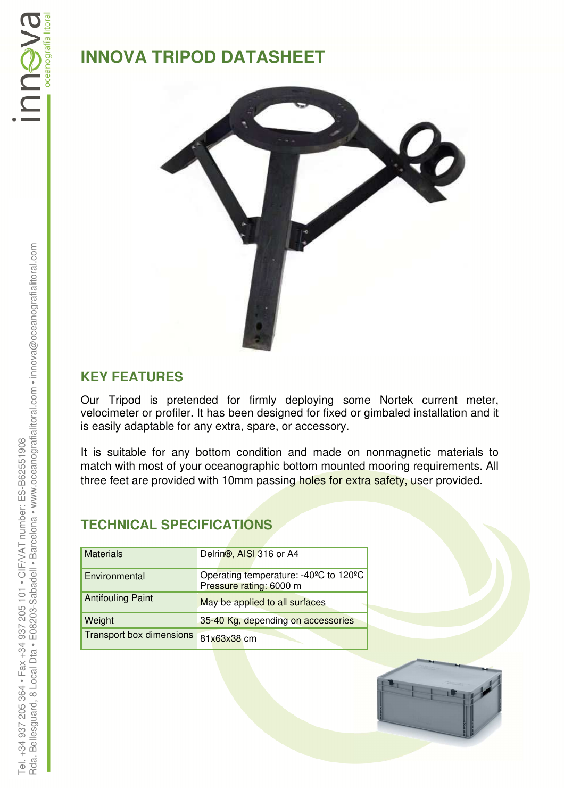# **INNOVA TRIPOD DATASHEET**



#### **KEY FEATURES**

Our Tripod is pretended for firmly deploying some Nortek current meter, velocimeter or profiler. It has been designed for fixed or gimbaled installation and it is easily adaptable for any extra, spare, or accessory.

It is suitable for any bottom condition and made on nonmagnetic materials to match with most of your oceanographic bottom mounted mooring requirements. All three feet are provided with 10mm passing holes for extra safety, user provided.

### **TECHNICAL SPECIFICATIONS**

| <b>Materials</b>         | Delrin <sup>®</sup> , AISI 316 or A4                             |  |  |
|--------------------------|------------------------------------------------------------------|--|--|
| Environmental            | Operating temperature: -40°C to 120°C<br>Pressure rating: 6000 m |  |  |
| <b>Antifouling Paint</b> | May be applied to all surfaces                                   |  |  |
| Weight                   | 35-40 Kg, depending on accessories                               |  |  |
| Transport box dimensions | 81x63x38 cm                                                      |  |  |